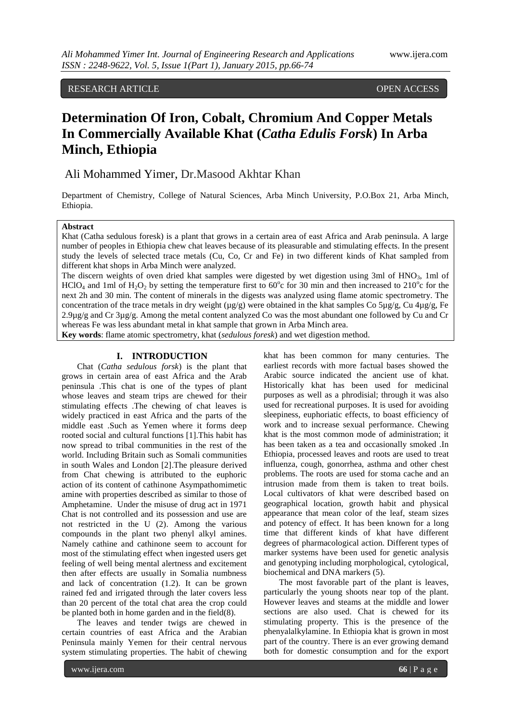RESEARCH ARTICLE **OPEN ACCESS** 

# **Determination Of Iron, Cobalt, Chromium And Copper Metals In Commercially Available Khat (***Catha Edulis Forsk***) In Arba Minch, Ethiopia**

# Ali Mohammed Yimer, Dr.Masood Akhtar Khan

Department of Chemistry, College of Natural Sciences, Arba Minch University, P.O.Box 21, Arba Minch, Ethiopia.

# **Abstract**

Khat (Catha sedulous foresk) is a plant that grows in a certain area of east Africa and Arab peninsula. A large number of peoples in Ethiopia chew chat leaves because of its pleasurable and stimulating effects. In the present study the levels of selected trace metals (Cu, Co, Cr and Fe) in two different kinds of Khat sampled from different khat shops in Arba Minch were analyzed.

The discern weights of oven dried khat samples were digested by wet digestion using 3ml of HNO<sub>3</sub>, 1ml of HClO<sub>4</sub> and 1ml of H<sub>2</sub>O<sub>2</sub> by setting the temperature first to 60<sup>o</sup>c for 30 min and then increased to 210<sup>o</sup>c for the next 2h and 30 min. The content of minerals in the digests was analyzed using flame atomic spectrometry. The concentration of the trace metals in dry weight ( $\mu$ g/g) were obtained in the khat samples Co 5 $\mu$ g/g, Cu 4 $\mu$ g/g, Fe 2.9µg/g and Cr 3µg/g. Among the metal content analyzed Co was the most abundant one followed by Cu and Cr whereas Fe was less abundant metal in khat sample that grown in Arba Minch area.

**Key words**: flame atomic spectrometry, khat (*sedulous foresk*) and wet digestion method.

# **I. INTRODUCTION**

Chat (*Catha sedulous forsk*) is the plant that grows in certain area of east Africa and the Arab peninsula .This chat is one of the types of plant whose leaves and steam trips are chewed for their stimulating effects .The chewing of chat leaves is widely practiced in east Africa and the parts of the middle east .Such as Yemen where it forms deep rooted social and cultural functions [1].This habit has now spread to tribal communities in the rest of the world. Including Britain such as Somali communities in south Wales and London [2].The pleasure derived from Chat chewing is attributed to the euphoric action of its content of cathinone Asympathomimetic amine with properties described as similar to those of Amphetamine. Under the misuse of drug act in 1971 Chat is not controlled and its possession and use are not restricted in the U (2). Among the various compounds in the plant two phenyl alkyl amines. Namely cathine and cathinone seem to account for most of the stimulating effect when ingested users get feeling of well being mental alertness and excitement then after effects are usually in Somalia numbness and lack of concentration (1.2). It can be grown rained fed and irrigated through the later covers less than 20 percent of the total chat area the crop could be planted both in home garden and in the field(8).

The leaves and tender twigs are chewed in certain countries of east Africa and the Arabian Peninsula mainly Yemen for their central nervous system stimulating properties. The habit of chewing

khat has been common for many centuries. The earliest records with more factual bases showed the Arabic source indicated the ancient use of khat. Historically khat has been used for medicinal purposes as well as a phrodisial; through it was also used for recreational purposes. It is used for avoiding sleepiness, euphoriatic effects, to boast efficiency of work and to increase sexual performance. Chewing khat is the most common mode of administration; it has been taken as a tea and occasionally smoked .In Ethiopia, processed leaves and roots are used to treat influenza, cough, gonorrhea, asthma and other chest problems. The roots are used for stoma cache and an intrusion made from them is taken to treat boils. Local cultivators of khat were described based on geographical location, growth habit and physical appearance that mean color of the leaf, steam sizes and potency of effect. It has been known for a long time that different kinds of khat have different degrees of pharmacological action. Different types of marker systems have been used for genetic analysis and genotyping including morphological, cytological, biochemical and DNA markers (5).

The most favorable part of the plant is leaves, particularly the young shoots near top of the plant. However leaves and steams at the middle and lower sections are also used. Chat is chewed for its stimulating property. This is the presence of the phenyalalkylamine. In Ethiopia khat is grown in most part of the country. There is an ever growing demand both for domestic consumption and for the export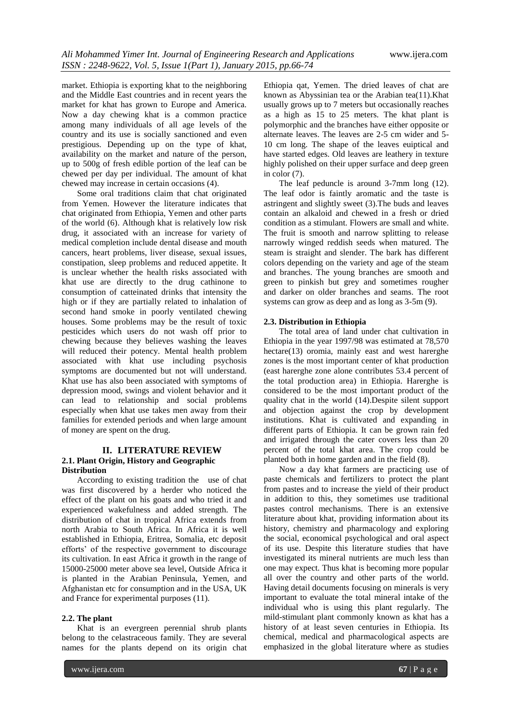market. Ethiopia is exporting khat to the neighboring and the Middle East countries and in recent years the market for khat has grown to Europe and America. Now a day chewing khat is a common practice among many individuals of all age levels of the country and its use is socially sanctioned and even prestigious. Depending up on the type of khat, availability on the market and nature of the person, up to 500g of fresh edible portion of the leaf can be chewed per day per individual. The amount of khat chewed may increase in certain occasions (4).

Some oral traditions claim that chat originated from Yemen. However the literature indicates that chat originated from Ethiopia, Yemen and other parts of the world (6). Although khat is relatively low risk drug, it associated with an increase for variety of medical completion include dental disease and mouth cancers, heart problems, liver disease, sexual issues, constipation, sleep problems and reduced appetite. It is unclear whether the health risks associated with khat use are directly to the drug cathinone to consumption of catteinated drinks that intensity the high or if they are partially related to inhalation of second hand smoke in poorly ventilated chewing houses. Some problems may be the result of toxic pesticides which users do not wash off prior to chewing because they believes washing the leaves will reduced their potency. Mental health problem associated with khat use including psychosis symptoms are documented but not will understand. Khat use has also been associated with symptoms of depression mood, swings and violent behavior and it can lead to relationship and social problems especially when khat use takes men away from their families for extended periods and when large amount of money are spent on the drug.

# **II. LITERATURE REVIEW 2.1. Plant Origin, History and Geographic Distribution**

According to existing tradition the use of chat was first discovered by a herder who noticed the effect of the plant on his goats and who tried it and experienced wakefulness and added strength. The distribution of chat in tropical Africa extends from north Arabia to South Africa. In Africa it is well established in Ethiopia, Eritrea, Somalia, etc deposit efforts' of the respective government to discourage its cultivation. In east Africa it growth in the range of 15000-25000 meter above sea level, Outside Africa it is planted in the Arabian Peninsula, Yemen, and Afghanistan etc for consumption and in the USA, UK and France for experimental purposes (11).

#### **2.2. The plant**

Khat is an evergreen perennial shrub plants belong to the celastraceous family. They are several names for the plants depend on its origin chat

Ethiopia qat, Yemen. The dried leaves of chat are known as Abyssinian tea or the Arabian tea(11).Khat usually grows up to 7 meters but occasionally reaches as a high as 15 to 25 meters. The khat plant is polymorphic and the branches have either opposite or alternate leaves. The leaves are 2-5 cm wider and 5- 10 cm long. The shape of the leaves euiptical and have started edges. Old leaves are leathery in texture highly polished on their upper surface and deep green in color (7).

The leaf peduncle is around 3-7mm long (12). The leaf odor is faintly aromatic and the taste is astringent and slightly sweet (3).The buds and leaves contain an alkaloid and chewed in a fresh or dried condition as a stimulant. Flowers are small and white. The fruit is smooth and narrow splitting to release narrowly winged reddish seeds when matured. The steam is straight and slender. The bark has different colors depending on the variety and age of the steam and branches. The young branches are smooth and green to pinkish but grey and sometimes rougher and darker on older branches and seams. The root systems can grow as deep and as long as 3-5m (9).

# **2.3. Distribution in Ethiopia**

The total area of land under chat cultivation in Ethiopia in the year 1997/98 was estimated at 78,570 hectare(13) oromia, mainly east and west harerghe zones is the most important center of khat production (east harerghe zone alone contributes 53.4 percent of the total production area) in Ethiopia. Harerghe is considered to be the most important product of the quality chat in the world (14).Despite silent support and objection against the crop by development institutions. Khat is cultivated and expanding in different parts of Ethiopia. It can be grown rain fed and irrigated through the cater covers less than 20 percent of the total khat area. The crop could be planted both in home garden and in the field (8).

Now a day khat farmers are practicing use of paste chemicals and fertilizers to protect the plant from pastes and to increase the yield of their product in addition to this, they sometimes use traditional pastes control mechanisms. There is an extensive literature about khat, providing information about its history, chemistry and pharmacology and exploring the social, economical psychological and oral aspect of its use. Despite this literature studies that have investigated its mineral nutrients are much less than one may expect. Thus khat is becoming more popular all over the country and other parts of the world. Having detail documents focusing on minerals is very important to evaluate the total mineral intake of the individual who is using this plant regularly. The mild-stimulant plant commonly known as khat has a history of at least seven centuries in Ethiopia. Its chemical, medical and pharmacological aspects are emphasized in the global literature where as studies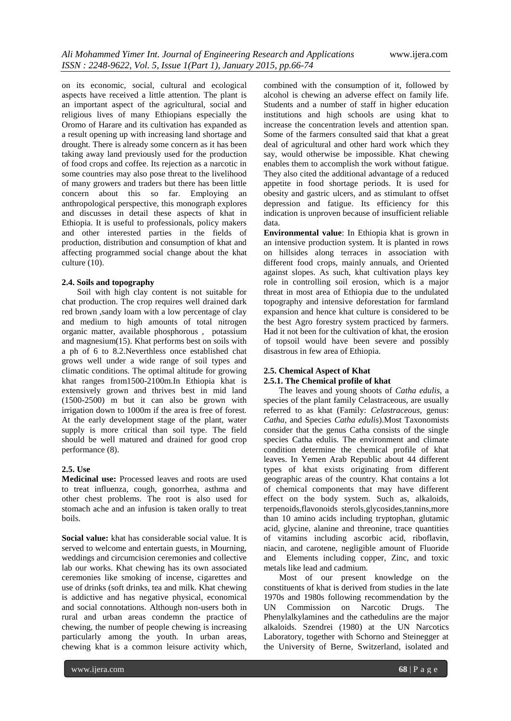on its economic, social, cultural and ecological aspects have received a little attention. The plant is an important aspect of the agricultural, social and religious lives of many Ethiopians especially the Oromo of Harare and its cultivation has expanded as a result opening up with increasing land shortage and drought. There is already some concern as it has been taking away land previously used for the production of food crops and coffee. Its rejection as a narcotic in some countries may also pose threat to the livelihood of many growers and traders but there has been little concern about this so far. Employing an anthropological perspective, this monograph explores and discusses in detail these aspects of khat in Ethiopia. It is useful to professionals, policy makers and other interested parties in the fields of production, distribution and consumption of khat and affecting programmed social change about the khat culture (10).

# **2.4. Soils and topography**

Soil with high clay content is not suitable for chat production. The crop requires well drained dark red brown ,sandy loam with a low percentage of clay and medium to high amounts of total nitrogen organic matter, available phosphorous , potassium and magnesium(15). Khat performs best on soils with a ph of 6 to 8.2.Neverthless once established chat grows well under a wide range of soil types and climatic conditions. The optimal altitude for growing khat ranges from1500-2100m.In Ethiopia khat is extensively grown and thrives best in mid land (1500-2500) m but it can also be grown with irrigation down to 1000m if the area is free of forest. At the early development stage of the plant, water supply is more critical than soil type. The field should be well matured and drained for good crop performance (8).

#### **2.5. Use**

**Medicinal use:** Processed leaves and roots are used to treat influenza, cough, gonorrhea, asthma and other chest problems. The root is also used for stomach ache and an infusion is taken orally to treat boils.

**Social value:** khat has considerable social value. It is served to welcome and entertain guests, in Mourning, weddings and circumcision ceremonies and collective lab our works. Khat chewing has its own associated ceremonies like smoking of incense, cigarettes and use of drinks (soft drinks, tea and milk. Khat chewing is addictive and has negative physical, economical and social connotations. Although non-users both in rural and urban areas condemn the practice of chewing, the number of people chewing is increasing particularly among the youth. In urban areas, chewing khat is a common leisure activity which,

combined with the consumption of it, followed by alcohol is chewing an adverse effect on family life. Students and a number of staff in higher education institutions and high schools are using khat to increase the concentration levels and attention span. Some of the farmers consulted said that khat a great deal of agricultural and other hard work which they say, would otherwise be impossible. Khat chewing enables them to accomplish the work without fatigue. They also cited the additional advantage of a reduced appetite in food shortage periods. It is used for obesity and gastric ulcers, and as stimulant to offset depression and fatigue. Its efficiency for this indication is unproven because of insufficient reliable data.

**Environmental value**: In Ethiopia khat is grown in an intensive production system. It is planted in rows on hillsides along terraces in association with different food crops, mainly annuals, and Oriented against slopes. As such, khat cultivation plays key role in controlling soil erosion, which is a major threat in most area of Ethiopia due to the undulated topography and intensive deforestation for farmland expansion and hence khat culture is considered to be the best Agro forestry system practiced by farmers. Had it not been for the cultivation of khat, the erosion of topsoil would have been severe and possibly disastrous in few area of Ethiopia.

# **2.5. Chemical Aspect of Khat**

# **2.5.1. The Chemical profile of khat**

The leaves and young shoots of *Catha edulis*, a species of the plant family Celastraceous, are usually referred to as khat (Family: *Celastraceous*, genus: *Catha*, and Species *Catha edulis*).Most Taxonomists consider that the genus Catha consists of the single species Catha edulis. The environment and climate condition determine the chemical profile of khat leaves. In Yemen Arab Republic about 44 different types of khat exists originating from different geographic areas of the country. Khat contains a lot of chemical components that may have different effect on the body system. Such as, alkaloids, terpenoids,flavonoids sterols,glycosides,tannins,more than 10 amino acids including tryptophan, glutamic acid, glycine, alanine and threonine, trace quantities of vitamins including ascorbic acid, riboflavin, niacin, and carotene, negligible amount of Fluoride and Elements including copper, Zinc, and toxic metals like lead and cadmium.

Most of our present knowledge on the constituents of khat is derived from studies in the late 1970s and 1980s following recommendation by the UN Commission on Narcotic Drugs. The Phenylalkylamines and the cathedulins are the major alkaloids. Szendrei (1980) at the UN Narcotics Laboratory, together with Schorno and Steinegger at the University of Berne, Switzerland, isolated and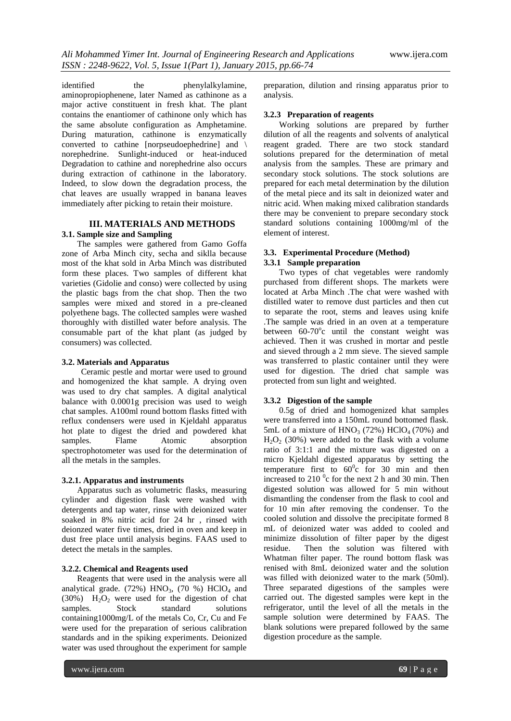identified the phenylalkylamine, aminopropiophenene, later Named as cathinone as a major active constituent in fresh khat. The plant contains the enantiomer of cathinone only which has the same absolute configuration as Amphetamine. During maturation, cathinone is enzymatically converted to cathine [norpseudoephedrine] and \ norephedrine. Sunlight-induced or heat-induced Degradation to cathine and norephedrine also occurs during extraction of cathinone in the laboratory. Indeed, to slow down the degradation process, the chat leaves are usually wrapped in banana leaves immediately after picking to retain their moisture.

# **III. MATERIALS AND METHODS 3.1. Sample size and Sampling**

The samples were gathered from Gamo Goffa zone of Arba Minch city, secha and siklla because most of the khat sold in Arba Minch was distributed form these places. Two samples of different khat varieties (Gidolie and conso) were collected by using the plastic bags from the chat shop. Then the two samples were mixed and stored in a pre-cleaned polyethene bags. The collected samples were washed thoroughly with distilled water before analysis. The consumable part of the khat plant (as judged by consumers) was collected.

#### **3.2. Materials and Apparatus**

Ceramic pestle and mortar were used to ground and homogenized the khat sample. A drying oven was used to dry chat samples. A digital analytical balance with 0.0001g precision was used to weigh chat samples. A100ml round bottom flasks fitted with reflux condensers were used in Kjeldahl apparatus hot plate to digest the dried and powdered khat samples. Flame Atomic absorption spectrophotometer was used for the determination of all the metals in the samples.

#### **3.2.1. Apparatus and instruments**

Apparatus such as volumetric flasks, measuring cylinder and digestion flask were washed with detergents and tap water, rinse with deionized water soaked in 8% nitric acid for 24 hr , rinsed with deionzed water five times, dried in oven and keep in dust free place until analysis begins. FAAS used to detect the metals in the samples.

#### **3.2.2. Chemical and Reagents used**

Reagents that were used in the analysis were all analytical grade. (72%)  $HNO<sub>3</sub>$ , (70 %)  $HClO<sub>4</sub>$  and  $(30%)$  H<sub>2</sub>O<sub>2</sub> were used for the digestion of chat samples. Stock standard solutions samples. Stock standard solutions containing1000mg/L of the metals Co, Cr, Cu and Fe were used for the preparation of serious calibration standards and in the spiking experiments. Deionized water was used throughout the experiment for sample

preparation, dilution and rinsing apparatus prior to analysis.

#### **3.2.3 Preparation of reagents**

Working solutions are prepared by further dilution of all the reagents and solvents of analytical reagent graded. There are two stock standard solutions prepared for the determination of metal analysis from the samples. These are primary and secondary stock solutions. The stock solutions are prepared for each metal determination by the dilution of the metal piece and its salt in deionized water and nitric acid. When making mixed calibration standards there may be convenient to prepare secondary stock standard solutions containing 1000mg/ml of the element of interest.

# **3.3. Experimental Procedure (Method)** **3.3.1 Sample preparation**

Two types of chat vegetables were randomly purchased from different shops. The markets were located at Arba Minch .The chat were washed with distilled water to remove dust particles and then cut to separate the root, stems and leaves using knife .The sample was dried in an oven at a temperature between  $60-70^{\circ}$ c until the constant weight was achieved. Then it was crushed in mortar and pestle and sieved through a 2 mm sieve. The sieved sample was transferred to plastic container until they were used for digestion. The dried chat sample was protected from sun light and weighted.

# **3.3.2 Digestion of the sample**

0.5g of dried and homogenized khat samples were transferred into a 150mL round bottomed flask. 5mL of a mixture of  $HNO<sub>3</sub>$  (72%) HClO<sub>4</sub> (70%) and  $H_2O_2$  (30%) were added to the flask with a volume ratio of 3:1:1 and the mixture was digested on a micro Kjeldahl digested apparatus by setting the temperature first to  $60^{\circ}$ c for 30 min and then increased to  $210<sup>0</sup>c$  for the next 2 h and 30 min. Then digested solution was allowed for 5 min without dismantling the condenser from the flask to cool and for 10 min after removing the condenser. To the cooled solution and dissolve the precipitate formed 8 mL of deionized water was added to cooled and minimize dissolution of filter paper by the digest residue. Then the solution was filtered with Whatman filter paper. The round bottom flask was renised with 8mL deionized water and the solution was filled with deionized water to the mark (50ml). Three separated digestions of the samples were carried out. The digested samples were kept in the refrigerator, until the level of all the metals in the sample solution were determined by FAAS. The blank solutions were prepared followed by the same digestion procedure as the sample.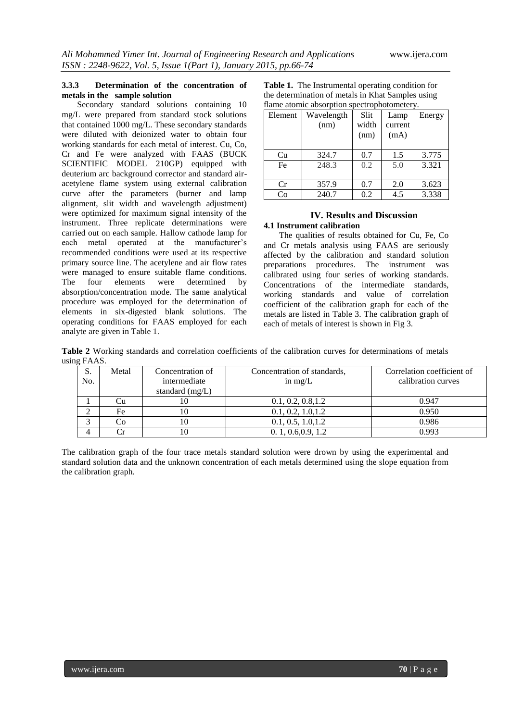# **3.3.3 Determination of the concentration of metals in the sample solution**

Secondary standard solutions containing 10 mg/L were prepared from standard stock solutions that contained 1000 mg/L. These secondary standards were diluted with deionized water to obtain four working standards for each metal of interest. Cu, Co, Cr and Fe were analyzed with FAAS (BUCK SCIENTIFIC MODEL 210GP) equipped with deuterium arc background corrector and standard airacetylene flame system using external calibration curve after the parameters (burner and lamp alignment, slit width and wavelength adjustment) were optimized for maximum signal intensity of the instrument. Three replicate determinations were carried out on each sample. Hallow cathode lamp for each metal operated at the manufacturer's recommended conditions were used at its respective primary source line. The acetylene and air flow rates were managed to ensure suitable flame conditions.<br>The four elements were determined by The four elements were determined by absorption/concentration mode. The same analytical procedure was employed for the determination of elements in six-digested blank solutions. The operating conditions for FAAS employed for each analyte are given in Table 1.

| <b>Table 1.</b> The Instrumental operating condition for |
|----------------------------------------------------------|
| the determination of metals in Khat Samples using        |
| flame atomic absorption spectrophotometery.              |

| Element | Wavelength<br>(nm) | Slit<br>width<br>(nm) | Lamp<br>current<br>(mA) | Energy |
|---------|--------------------|-----------------------|-------------------------|--------|
|         |                    |                       |                         |        |
| Cu      | 324.7              | 0.7                   | 1.5                     | 3.775  |
| Fe      | 248.3              | 0.2                   | 5.0                     | 3.321  |
|         |                    |                       |                         |        |
| Cr      | 357.9              | 0.7                   | 2.0                     | 3.623  |
| Co      | 240.7              | 0.2                   | 4.5                     | 3.338  |

# **IV. Results and Discussion 4.1 Instrument calibration**

The qualities of results obtained for Cu, Fe, Co and Cr metals analysis using FAAS are seriously affected by the calibration and standard solution preparations procedures. The instrument was calibrated using four series of working standards. Concentrations of the intermediate standards, working standards and value of correlation coefficient of the calibration graph for each of the metals are listed in Table 3. The calibration graph of each of metals of interest is shown in Fig 3.

**Table 2** Working standards and correlation coefficients of the calibration curves for determinations of metals using FAAS.

| S.  | Metal | Concentration of  | Concentration of standards, | Correlation coefficient of |
|-----|-------|-------------------|-----------------------------|----------------------------|
| No. |       | intermediate      | in $mg/L$                   | calibration curves         |
|     |       | standard $(mg/L)$ |                             |                            |
|     | Cu    | 10                | 0.1, 0.2, 0.8, 1.2          | 0.947                      |
| ◠   | Fe    | 0                 | 0.1, 0.2, 1.0, 1.2          | 0.950                      |
| ⌒   | Co    | 10                | 0.1, 0.5, 1.0, 1.2          | 0.986                      |
| 4   |       | 10                | 0.1, 0.6, 0.9, 1.2          | 0.993                      |

The calibration graph of the four trace metals standard solution were drown by using the experimental and standard solution data and the unknown concentration of each metals determined using the slope equation from the calibration graph.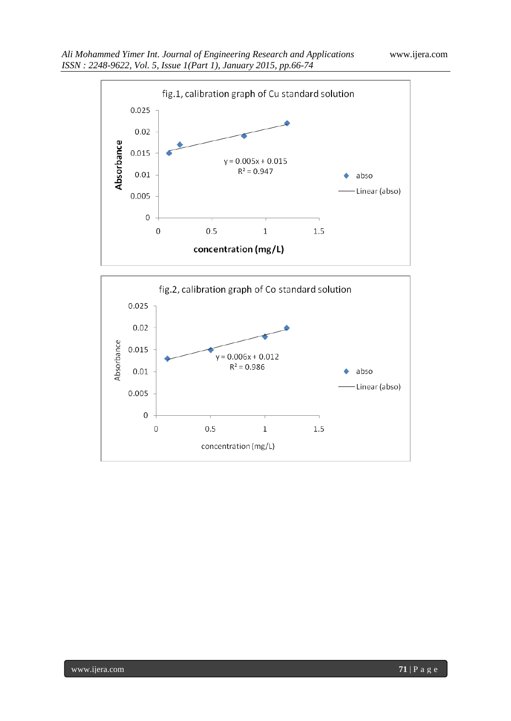

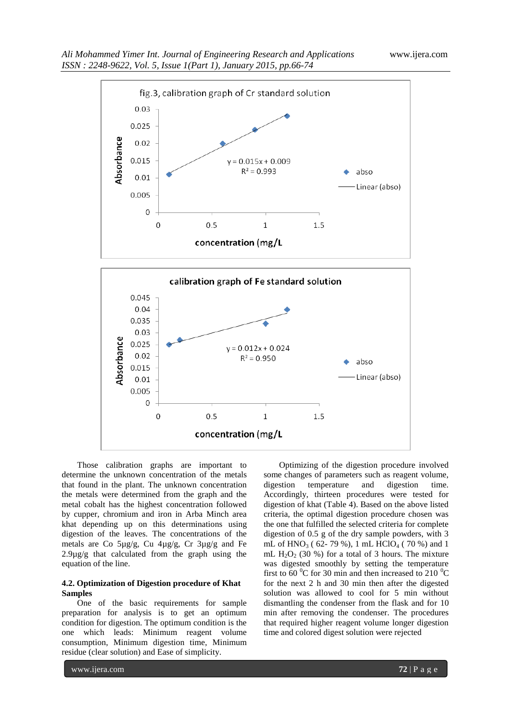

 $\,1\,$ 

concentration (mg/L

 $1.5$ 

Those calibration graphs are important to determine the unknown concentration of the metals that found in the plant. The unknown concentration the metals were determined from the graph and the metal cobalt has the highest concentration followed by cupper, chromium and iron in Arba Minch area khat depending up on this determinations using digestion of the leaves. The concentrations of the metals are Co 5µg/g, Cu 4µg/g, Cr 3µg/g and Fe 2.9µg/g that calculated from the graph using the equation of the line.

0  $\overline{0}$ 

 $0.5$ 

#### **4.2. Optimization of Digestion procedure of Khat Samples**

One of the basic requirements for sample preparation for analysis is to get an optimum condition for digestion. The optimum condition is the one which leads: Minimum reagent volume consumption, Minimum digestion time, Minimum residue (clear solution) and Ease of simplicity.

Optimizing of the digestion procedure involved some changes of parameters such as reagent volume, digestion temperature and digestion time. Accordingly, thirteen procedures were tested for digestion of khat (Table 4). Based on the above listed criteria, the optimal digestion procedure chosen was the one that fulfilled the selected criteria for complete digestion of 0.5 g of the dry sample powders, with 3 mL of  $HNO<sub>3</sub>$  (62-79 %), 1 mL  $HClO<sub>4</sub>$  (70 %) and 1 mL  $H_2O_2$  (30 %) for a total of 3 hours. The mixture was digested smoothly by setting the temperature first to 60  $\mathrm{^0C}$  for 30 min and then increased to 210  $\mathrm{^0C}$ for the next 2 h and 30 min then after the digested solution was allowed to cool for 5 min without dismantling the condenser from the flask and for 10 min after removing the condenser. The procedures that required higher reagent volume longer digestion time and colored digest solution were rejected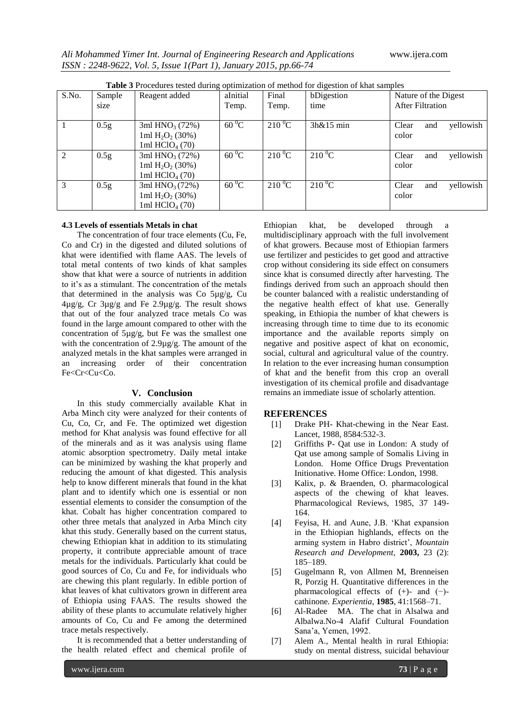| <b>Table 3</b> Procedures tested during optimization of method for digestion of khat samples |                  |                                         |                |                       |              |                           |
|----------------------------------------------------------------------------------------------|------------------|-----------------------------------------|----------------|-----------------------|--------------|---------------------------|
| S.No.                                                                                        | Sample           | Reagent added                           | aInitial       | Final                 | bDigestion   | Nature of the Digest      |
|                                                                                              | size             |                                         | Temp.          | Temp.                 | time         | <b>After Filtration</b>   |
|                                                                                              |                  |                                         |                |                       |              |                           |
|                                                                                              | 0.5 <sub>g</sub> | 3ml $HNO3 (72%)$                        | $60\,^0C$      | $210\,^0$ C           | $3h\&15$ min | yellowish<br>Clear<br>and |
|                                                                                              |                  | 1ml $H_2O_2$ (30%)                      |                |                       |              | color                     |
|                                                                                              |                  | 1ml $HCIO4 (70)$                        |                |                       |              |                           |
| $\mathfrak{D}$                                                                               | 0.5g             | 3ml $HNO3 (72%)$                        | $60^{\circ}$ C | $210\,^0C$            | $210\,^0C$   | Clear<br>vellowish<br>and |
|                                                                                              |                  | 1ml H <sub>2</sub> O <sub>2</sub> (30%) |                |                       |              | color                     |
|                                                                                              |                  | 1ml $HCIO4 (70)$                        |                |                       |              |                           |
| $\mathcal{E}$                                                                                | 0.5 <sub>g</sub> | 3ml $HNO3(72%)$                         | $60^{\circ}$ C | $2\overline{10\,^0C}$ | $210\,^0C$   | yellowish<br>Clear<br>and |
|                                                                                              |                  | 1ml $H_2O_2$ (30%)                      |                |                       |              | color                     |
|                                                                                              |                  | 1ml HClO <sub>4</sub> (70)              |                |                       |              |                           |

**Table 3** Procedures tested during optimization of method for digestion of khat samples

#### **4.3 Levels of essentials Metals in chat**

The concentration of four trace elements (Cu, Fe, Co and Cr) in the digested and diluted solutions of khat were identified with flame AAS. The levels of total metal contents of two kinds of khat samples show that khat were a source of nutrients in addition to it's as a stimulant. The concentration of the metals that determined in the analysis was Co 5µg/g, Cu 4µg/g, Cr 3µg/g and Fe 2.9µg/g. The result shows that out of the four analyzed trace metals Co was found in the large amount compared to other with the concentration of 5µg/g, but Fe was the smallest one with the concentration of 2.9µg/g. The amount of the analyzed metals in the khat samples were arranged in an increasing order of their concentration Fe<Cr<Cu<Co.

#### **V. Conclusion**

In this study commercially available Khat in Arba Minch city were analyzed for their contents of Cu, Co, Cr, and Fe. The optimized wet digestion method for Khat analysis was found effective for all of the minerals and as it was analysis using flame atomic absorption spectrometry. Daily metal intake can be minimized by washing the khat properly and reducing the amount of khat digested. This analysis help to know different minerals that found in the khat plant and to identify which one is essential or non essential elements to consider the consumption of the khat. Cobalt has higher concentration compared to other three metals that analyzed in Arba Minch city khat this study. Generally based on the current status, chewing Ethiopian khat in addition to its stimulating property, it contribute appreciable amount of trace metals for the individuals. Particularly khat could be good sources of Co, Cu and Fe, for individuals who are chewing this plant regularly. In edible portion of khat leaves of khat cultivators grown in different area of Ethiopia using FAAS. The results showed the ability of these plants to accumulate relatively higher amounts of Co, Cu and Fe among the determined trace metals respectively.

It is recommended that a better understanding of the health related effect and chemical profile of

Ethiopian khat, be developed through a multidisciplinary approach with the full involvement of khat growers. Because most of Ethiopian farmers use fertilizer and pesticides to get good and attractive crop without considering its side effect on consumers since khat is consumed directly after harvesting. The findings derived from such an approach should then be counter balanced with a realistic understanding of the negative health effect of khat use. Generally speaking, in Ethiopia the number of khat chewers is increasing through time to time due to its economic importance and the available reports simply on negative and positive aspect of khat on economic, social, cultural and agricultural value of the country. In relation to the ever increasing human consumption of khat and the benefit from this crop an overall investigation of its chemical profile and disadvantage remains an immediate issue of scholarly attention.

#### **REFERENCES**

- [1] Drake PH- Khat-chewing in the Near East. Lancet, 1988, 8584:532-3.
- [2] Griffiths P- Qat use in London: A study of Qat use among sample of Somalis Living in London. Home Office Drugs Preventation Initionative. Home Office: London, 1998.
- [3] Kalix, p. & Braenden, O. pharmacological aspects of the chewing of khat leaves. Pharmacological Reviews, 1985, 37 149- 164.
- [4] Feyisa, H. and Aune, J.B. 'Khat expansion in the Ethiopian highlands, effects on the arming system in Habro district', *Mountain Research and Development,* **2003,** 23 (2): 185–189.
- [5] Gugelmann R, von Allmen M, Brenneisen R, Porzig H. Quantitative differences in the pharmacological effects of (+)- and (−) cathinone. *Experientia,* **1985**, 41:1568–71.
- [6] Al-Radee MA. The chat in Alsalwa and Albalwa.No-4 Alafif Cultural Foundation Sana'a, Yemen, 1992.
- [7] Alem A., Mental health in rural Ethiopia: study on mental distress, suicidal behaviour